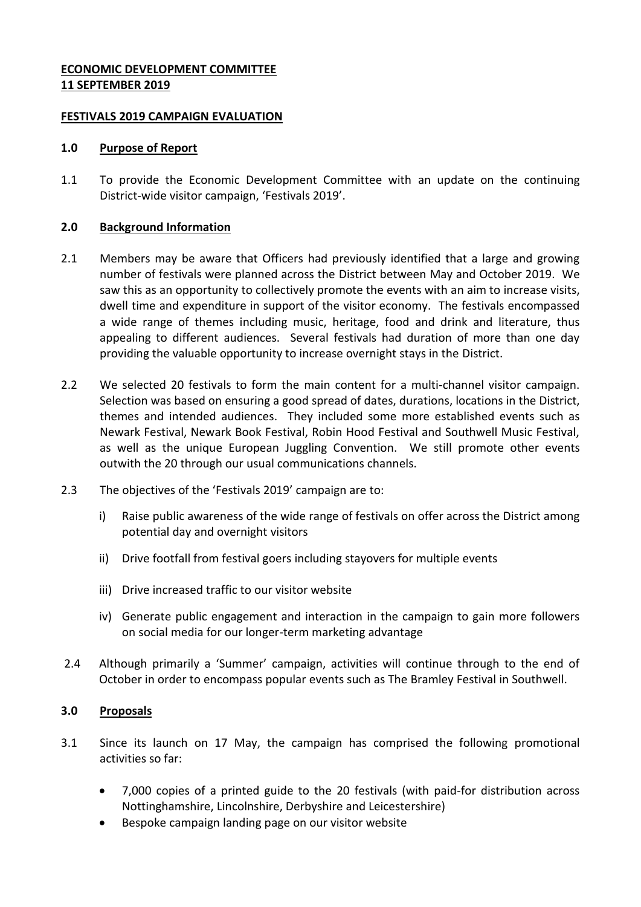## **ECONOMIC DEVELOPMENT COMMITTEE 11 SEPTEMBER 2019**

#### **FESTIVALS 2019 CAMPAIGN EVALUATION**

#### **1.0 Purpose of Report**

1.1 To provide the Economic Development Committee with an update on the continuing District-wide visitor campaign, 'Festivals 2019'.

#### **2.0 Background Information**

- 2.1 Members may be aware that Officers had previously identified that a large and growing number of festivals were planned across the District between May and October 2019. We saw this as an opportunity to collectively promote the events with an aim to increase visits, dwell time and expenditure in support of the visitor economy. The festivals encompassed a wide range of themes including music, heritage, food and drink and literature, thus appealing to different audiences. Several festivals had duration of more than one day providing the valuable opportunity to increase overnight stays in the District.
- 2.2 We selected 20 festivals to form the main content for a multi-channel visitor campaign. Selection was based on ensuring a good spread of dates, durations, locations in the District, themes and intended audiences. They included some more established events such as Newark Festival, Newark Book Festival, Robin Hood Festival and Southwell Music Festival, as well as the unique European Juggling Convention. We still promote other events outwith the 20 through our usual communications channels.
- 2.3 The objectives of the 'Festivals 2019' campaign are to:
	- i) Raise public awareness of the wide range of festivals on offer across the District among potential day and overnight visitors
	- ii) Drive footfall from festival goers including stayovers for multiple events
	- iii) Drive increased traffic to our visitor website
	- iv) Generate public engagement and interaction in the campaign to gain more followers on social media for our longer-term marketing advantage
- 2.4 Although primarily a 'Summer' campaign, activities will continue through to the end of October in order to encompass popular events such as The Bramley Festival in Southwell.

## **3.0 Proposals**

- 3.1 Since its launch on 17 May, the campaign has comprised the following promotional activities so far:
	- 7,000 copies of a printed guide to the 20 festivals (with paid-for distribution across Nottinghamshire, Lincolnshire, Derbyshire and Leicestershire)
	- Bespoke campaign landing page on our visitor website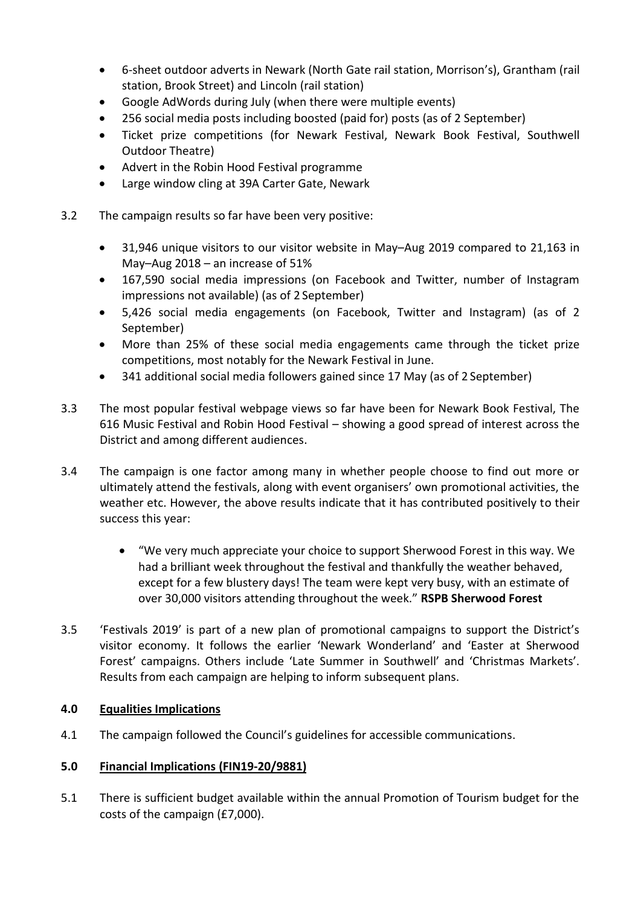- 6-sheet outdoor adverts in Newark (North Gate rail station, Morrison's), Grantham (rail station, Brook Street) and Lincoln (rail station)
- Google AdWords during July (when there were multiple events)
- 256 social media posts including boosted (paid for) posts (as of 2 September)
- Ticket prize competitions (for Newark Festival, Newark Book Festival, Southwell Outdoor Theatre)
- Advert in the Robin Hood Festival programme
- Large window cling at 39A Carter Gate, Newark
- 3.2 The campaign results so far have been very positive:
	- 31,946 unique visitors to our visitor website in May–Aug 2019 compared to 21,163 in May–Aug 2018 – an increase of 51%
	- 167,590 social media impressions (on Facebook and Twitter, number of Instagram impressions not available) (as of 2 September)
	- 5,426 social media engagements (on Facebook, Twitter and Instagram) (as of 2 September)
	- More than 25% of these social media engagements came through the ticket prize competitions, most notably for the Newark Festival in June.
	- 341 additional social media followers gained since 17 May (as of 2 September)
- 3.3 The most popular festival webpage views so far have been for Newark Book Festival, The 616 Music Festival and Robin Hood Festival – showing a good spread of interest across the District and among different audiences.
- 3.4 The campaign is one factor among many in whether people choose to find out more or ultimately attend the festivals, along with event organisers' own promotional activities, the weather etc. However, the above results indicate that it has contributed positively to their success this year:
	- "We very much appreciate your choice to support Sherwood Forest in this way. We had a brilliant week throughout the festival and thankfully the weather behaved, except for a few blustery days! The team were kept very busy, with an estimate of over 30,000 visitors attending throughout the week." **RSPB Sherwood Forest**
- 3.5 'Festivals 2019' is part of a new plan of promotional campaigns to support the District's visitor economy. It follows the earlier 'Newark Wonderland' and 'Easter at Sherwood Forest' campaigns. Others include 'Late Summer in Southwell' and 'Christmas Markets'. Results from each campaign are helping to inform subsequent plans.

# **4.0 Equalities Implications**

4.1 The campaign followed the Council's guidelines for accessible communications.

## **5.0 Financial Implications (FIN19-20/9881)**

5.1 There is sufficient budget available within the annual Promotion of Tourism budget for the costs of the campaign (£7,000).